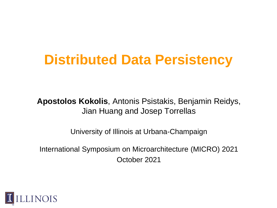# **Distributed Data Persistency**

**Apostolos Kokolis**, Antonis Psistakis, Benjamin Reidys, Jian Huang and Josep Torrellas

University of Illinois at Urbana-Champaign

International Symposium on Microarchitecture (MICRO) 2021 October 2021

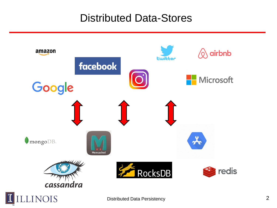### Distributed Data-Stores

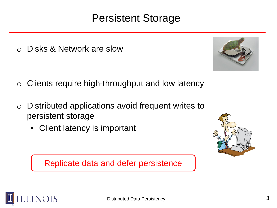# Persistent Storage

o Disks & Network are slow

- $\circ$  Clients require high-throughput and low latency
- o Distributed applications avoid frequent writes to persistent storage
	- Client latency is important

Replicate data and defer persistence







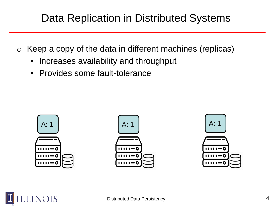# Data Replication in Distributed Systems

 $\circ$  Keep a copy of the data in different machines (replicas)

- Increases availability and throughput
- Provides some fault-tolerance



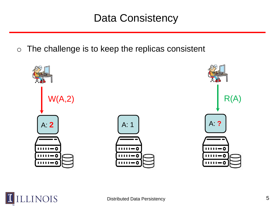$\circ$  The challenge is to keep the replicas consistent



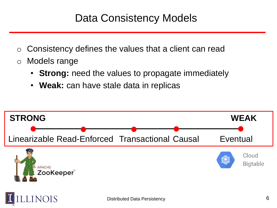# Data Consistency Models

- $\circ$  Consistency defines the values that a client can read
- o Models range
	- **Strong:** need the values to propagate immediately
	- **Weak:** can have stale data in replicas

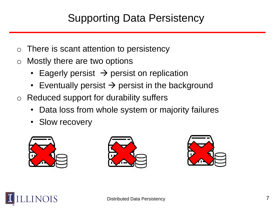# Supporting Data Persistency

- o There is scant attention to persistency
- o Mostly there are two options
	- Eagerly persist  $\rightarrow$  persist on replication
	- Eventually persist  $\rightarrow$  persist in the background
- o Reduced support for durability suffers
	- Data loss from whole system or majority failures
	- Slow recovery







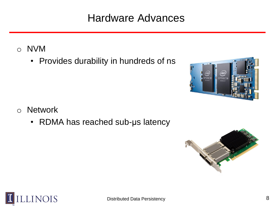# Hardware Advances

o NVM

• Provides durability in hundreds of ns



- o Network
	- RDMA has reached sub-us latency



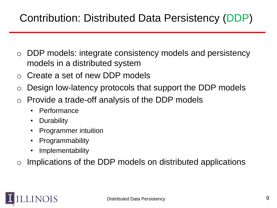# Contribution: Distributed Data Persistency (DDP)

- o DDP models: integrate consistency models and persistency models in a distributed system
- o Create a set of new DDP models
- o Design low-latency protocols that support the DDP models
- Provide a trade-off analysis of the DDP models
	- Performance
	- Durability
	- Programmer intuition
	- **Programmability**
	- Implementability

 $\circ$  Implications of the DDP models on distributed applications

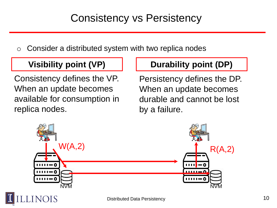# Consistency vs Persistency

 $\circ$  Consider a distributed system with two replica nodes

Consistency defines the VP. When an update becomes available for consumption in replica nodes.

#### **Visibility point (VP) | | Durability point (DP)**

Persistency defines the DP. When an update becomes durable and cannot be lost by a failure.

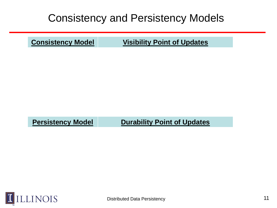# Consistency and Persistency Models

**Consistency Model Visibility Point of Updates**

**Persistency Model Durability Point of Updates** 

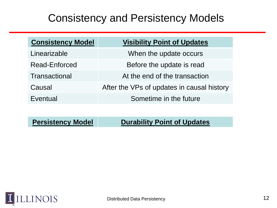# Consistency and Persistency Models

| <b>Consistency Model</b> | <b>Visibility Point of Updates</b>         |
|--------------------------|--------------------------------------------|
| Linearizable             | When the update occurs                     |
| Read-Enforced            | Before the update is read                  |
| Transactional            | At the end of the transaction              |
| Causal                   | After the VPs of updates in causal history |
| Eventual                 | Sometime in the future                     |

**Persistency Model Durability Point of Updates** 

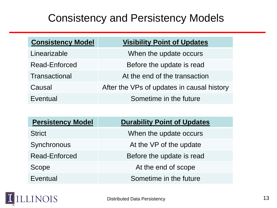# Consistency and Persistency Models

| <b>Consistency Model</b> | <b>Visibility Point of Updates</b>         |
|--------------------------|--------------------------------------------|
| Linearizable             | When the update occurs                     |
| Read-Enforced            | Before the update is read                  |
| Transactional            | At the end of the transaction              |
| Causal                   | After the VPs of updates in causal history |
| Eventual                 | Sometime in the future                     |

| <b>Persistency Model</b> | <b>Durability Point of Updates</b> |
|--------------------------|------------------------------------|
| <b>Strict</b>            | When the update occurs             |
| Synchronous              | At the VP of the update            |
| Read-Enforced            | Before the update is read          |
| Scope                    | At the end of scope                |
| Eventual                 | Sometime in the future             |

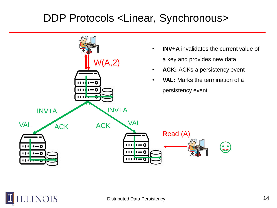# DDP Protocols <Linear, Synchronous>



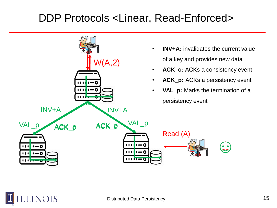# DDP Protocols <Linear, Read-Enforced>



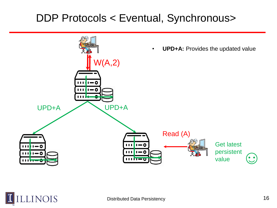### DDP Protocols < Eventual, Synchronous>



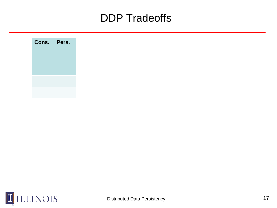| Cons. Pers. |
|-------------|
|             |
|             |
|             |
|             |
|             |
|             |
|             |

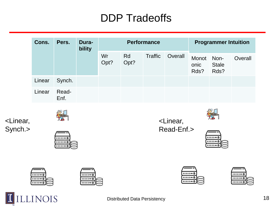|                                     | Cons.                                      | Pers.                                     | Dura-<br>bility                   |            |            | <b>Performance</b> | <b>Programmer Intuition</b>            |                       |                                        |                                          |
|-------------------------------------|--------------------------------------------|-------------------------------------------|-----------------------------------|------------|------------|--------------------|----------------------------------------|-----------------------|----------------------------------------|------------------------------------------|
|                                     |                                            |                                           |                                   | Wr<br>Opt? | Rd<br>Opt? | <b>Traffic</b>     | Overall                                | Monot<br>onic<br>Rds? | Non-<br><b>Stale</b><br>Rds?           | Overall                                  |
|                                     | Linear                                     | Synch.                                    |                                   |            |            |                    |                                        |                       |                                        |                                          |
|                                     | Linear                                     | Read-<br>Enf.                             |                                   |            |            |                    |                                        |                       |                                        |                                          |
| <linear,<br>Synch.&gt;</linear,<br> |                                            | $11111 - C$<br>$11111 - C$<br>$11111 - C$ |                                   |            |            |                    | <linear,<br>Read-Enf.&gt;</linear,<br> |                       | $1111 - 0$<br>$1111 - 0$<br>$1111 - 0$ |                                          |
|                                     | $1111 - 0$<br>$\blacksquare$<br>$1111 - 0$ |                                           | $1111 - 0$<br>$ -0$<br>$1111 - 0$ |            |            |                    | $1111 - 0$<br>$1111 - 0$<br>$1111 - 0$ |                       |                                        | $1111 - 0$<br>$11111 - 0$<br>$11111 - C$ |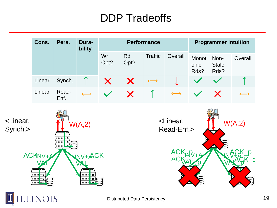

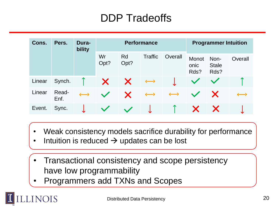| Cons.  | Pers.         | Dura-<br>bility       |            |                   | <b>Performance</b>    | <b>Programmer Intuition</b> |                              |                              |                       |
|--------|---------------|-----------------------|------------|-------------------|-----------------------|-----------------------------|------------------------------|------------------------------|-----------------------|
|        |               |                       | Wr<br>Opt? | <b>Rd</b><br>Opt? | <b>Traffic</b>        | Overall                     | <b>Monot</b><br>onic<br>Rds? | Non-<br><b>Stale</b><br>Rds? | Overall               |
| Linear | Synch.        |                       | X          | X                 | $\longleftrightarrow$ |                             |                              |                              |                       |
| Linear | Read-<br>Enf. | $\longleftrightarrow$ |            | X                 | $\longleftrightarrow$ | $\longleftrightarrow$       |                              | X                            | $\longleftrightarrow$ |
| Event. | Sync.         |                       |            |                   |                       |                             |                              | X                            |                       |

- Weak consistency models sacrifice durability for performance
- Intuition is reduced  $\rightarrow$  updates can be lost
- Transactional consistency and scope persistency have low programmability
- Programmers add TXNs and Scopes

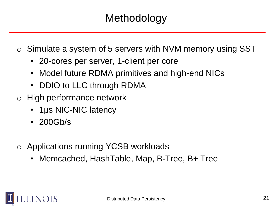# **Methodology**

- o Simulate a system of 5 servers with NVM memory using SST
	- 20-cores per server, 1-client per core
	- Model future RDMA primitives and high-end NICs
	- DDIO to LLC through RDMA
- o High performance network
	- 1µs NIC-NIC latency
	- 200Gb/s
- o Applications running YCSB workloads
	- Memcached, HashTable, Map, B-Tree, B+ Tree

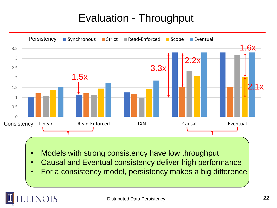# Evaluation - Throughput



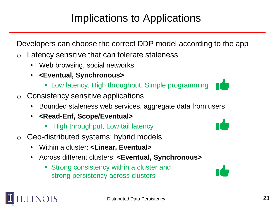# Implications to Applications

Developers can choose the correct DDP model according to the app

- o Latency sensitive that can tolerate staleness
	- Web browsing, social networks
	- **<Eventual, Synchronous>** 
		- **.** Low latency, High throughput, Simple programming
- o Consistency sensitive applications
	- Bounded staleness web services, aggregate data from users
	- **<Read-Enf, Scope/Eventual>**
		- High throughput, Low tail latency
- o Geo-distributed systems: hybrid models
	- Within a cluster: **<Linear, Eventual>**
	- Across different clusters: **<Eventual, Synchronous>**
		- Strong consistency within a cluster and strong persistency across clusters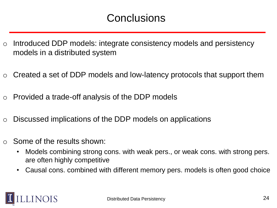# **Conclusions**

- $\circ$  Introduced DDP models: integrate consistency models and persistency models in a distributed system
- Created a set of DDP models and low-latency protocols that support them
- Provided a trade-off analysis of the DDP models
- Discussed implications of the DDP models on applications
- Some of the results shown:
	- Models combining strong cons. with weak pers., or weak cons. with strong pers. are often highly competitive
	- Causal cons. combined with different memory pers. models is often good choice

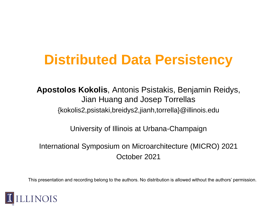# **Distributed Data Persistency**

**Apostolos Kokolis**, Antonis Psistakis, Benjamin Reidys, Jian Huang and Josep Torrellas {kokolis2,psistaki,breidys2,jianh,torrella}@illinois.edu

University of Illinois at Urbana-Champaign

International Symposium on Microarchitecture (MICRO) 2021 October 2021

This presentation and recording belong to the authors. No distribution is allowed without the authors' permission.

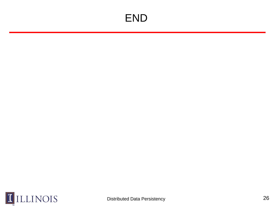# END

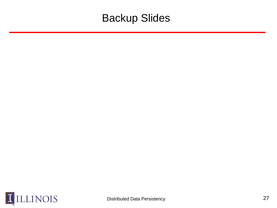#### Backup Slides

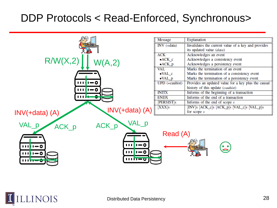# DDP Protocols < Read-Enforced, Synchronous>



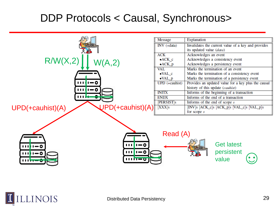# DDP Protocols < Causal, Synchronous>



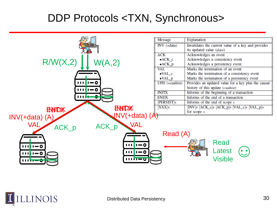# DDP Protocols <TXN, Synchronous>



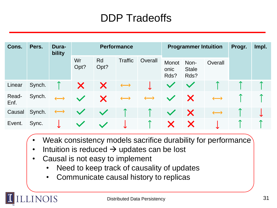| Cons.         | Pers.  | Dura-<br>bility       | <b>Performance</b>   |                   |                       |                       | <b>Programmer Intuition</b> |                              |                       | Progr.     | Impl.            |
|---------------|--------|-----------------------|----------------------|-------------------|-----------------------|-----------------------|-----------------------------|------------------------------|-----------------------|------------|------------------|
|               |        |                       | Wr<br>Opt?           | <b>Rd</b><br>Opt? | <b>Traffic</b>        | Overall               | Monot<br>onic<br>Rds?       | Non-<br><b>Stale</b><br>Rds? | Overall               |            |                  |
| Linear        | Synch. | ́∩                    |                      | X                 | $\longleftrightarrow$ |                       |                             |                              | ́^                    | Л          | $\triangleright$ |
| Read-<br>Enf. | Synch. | $\longleftrightarrow$ | $\blacktriangledown$ | X                 | $\longleftrightarrow$ | $\longleftrightarrow$ |                             | X                            | $\longleftrightarrow$ |            | Л                |
| Causal        | Synch. | $\longleftrightarrow$ |                      |                   |                       |                       |                             | X                            | $\longleftrightarrow$ | Л          |                  |
| Event.        | Sync.  |                       | $\blacktriangledown$ |                   |                       |                       |                             | X                            |                       | $\sqrt{2}$ |                  |

- Weak consistency models sacrifice durability for performance
- Intuition is reduced  $\rightarrow$  updates can be lost
- Causal is not easy to implement
	- Need to keep track of causality of updates
	- Communicate causal history to replicas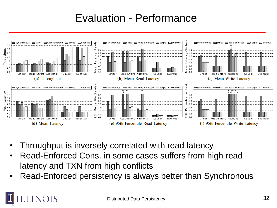# Evaluation - Performance



- Throughput is inversely correlated with read latency
- Read-Enforced Cons. in some cases suffers from high read latency and TXN from high conflicts
- Read-Enforced persistency is always better than Synchronous

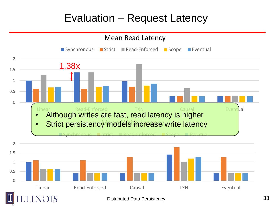# Evaluation – Request Latency

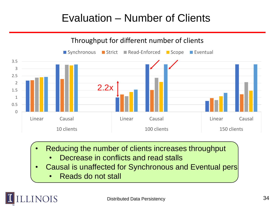# Evaluation – Number of Clients



- Reducing the number of clients increases throughput
	- Decrease in conflicts and read stalls
- Causal is unaffected for Synchronous and Eventual pers
	- Reads do not stall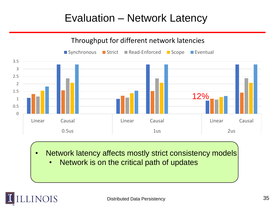# Evaluation – Network Latency



- Network latency affects mostly strict consistency models
	- Network is on the critical path of updates

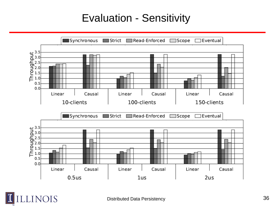#### Evaluation - Sensitivity